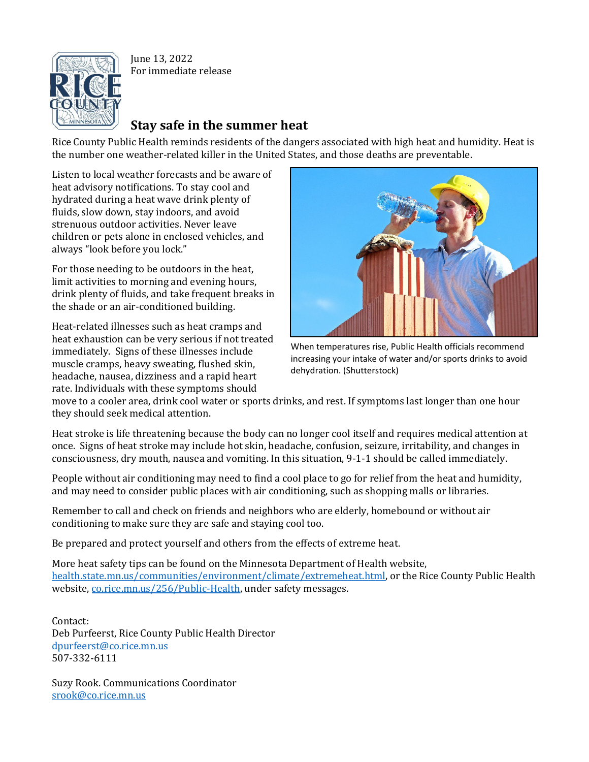

June 13, 2022 For immediate release

## **Stay safe in the summer heat**

Rice County Public Health reminds residents of the dangers associated with high heat and humidity. Heat is the number one weather-related killer in the United States, and those deaths are preventable.

Listen to local weather forecasts and be aware of heat advisory notifications. To stay cool and hydrated during a heat wave drink plenty of fluids, slow down, stay indoors, and avoid strenuous outdoor activities. Never leave children or pets alone in enclosed vehicles, and always "look before you lock."

For those needing to be outdoors in the heat, limit activities to morning and evening hours, drink plenty of fluids, and take frequent breaks in the shade or an air-conditioned building.

Heat-related illnesses such as heat cramps and heat exhaustion can be very serious if not treated immediately. Signs of these illnesses include muscle cramps, heavy sweating, flushed skin, headache, nausea, dizziness and a rapid heart rate. Individuals with these symptoms should



When temperatures rise, Public Health officials recommend increasing your intake of water and/or sports drinks to avoid dehydration. (Shutterstock)

move to a cooler area, drink cool water or sports drinks, and rest. If symptoms last longer than one hour they should seek medical attention.

Heat stroke is life threatening because the body can no longer cool itself and requires medical attention at once. Signs of heat stroke may include hot skin, headache, confusion, seizure, irritability, and changes in consciousness, dry mouth, nausea and vomiting. In this situation, 9-1-1 should be called immediately.

People without air conditioning may need to find a cool place to go for relief from the heat and humidity, and may need to consider public places with air conditioning, such as shopping malls or libraries.

Remember to call and check on friends and neighbors who are elderly, homebound or without air conditioning to make sure they are safe and staying cool too.

Be prepared and protect yourself and others from the effects of extreme heat.

More heat safety tips can be found on the Minnesota Department of Health website, [health.state.mn.us/communities/environment/climate/extremeheat.html,](https://www.health.state.mn.us/communities/environment/climate/extremeheat.html) or the Rice County Public Health website, [co.rice.mn.us/256/Public-Health,](http://www.co.rice.mn.us/256/Public-Health) under safety messages.

Contact: Deb Purfeerst, Rice County Public Health Director [dpurfeerst@co.rice.mn.us](mailto:dpurfeerst@co.rice.mn.us) 507-332-6111

Suzy Rook. Communications Coordinator [srook@co.rice.mn.us](mailto:srook@co.rice.mn.us)